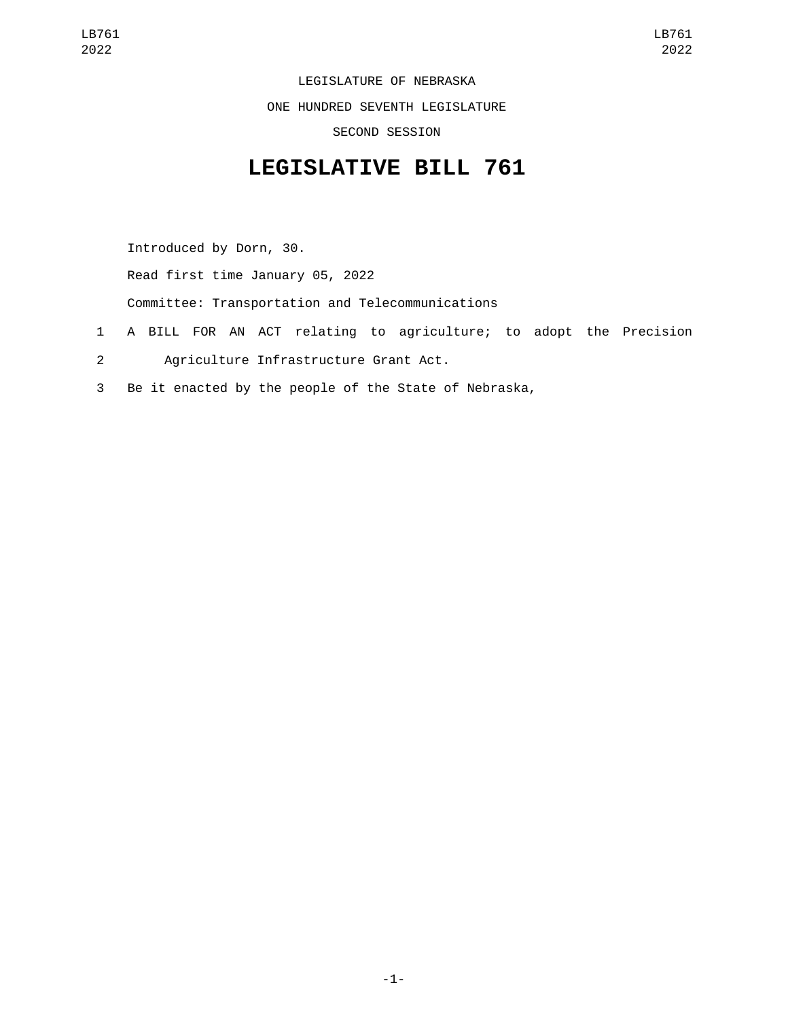LEGISLATURE OF NEBRASKA ONE HUNDRED SEVENTH LEGISLATURE SECOND SESSION

## **LEGISLATIVE BILL 761**

Introduced by Dorn, 30. Read first time January 05, 2022 Committee: Transportation and Telecommunications

- 1 A BILL FOR AN ACT relating to agriculture; to adopt the Precision
- Agriculture Infrastructure Grant Act.2
- 3 Be it enacted by the people of the State of Nebraska,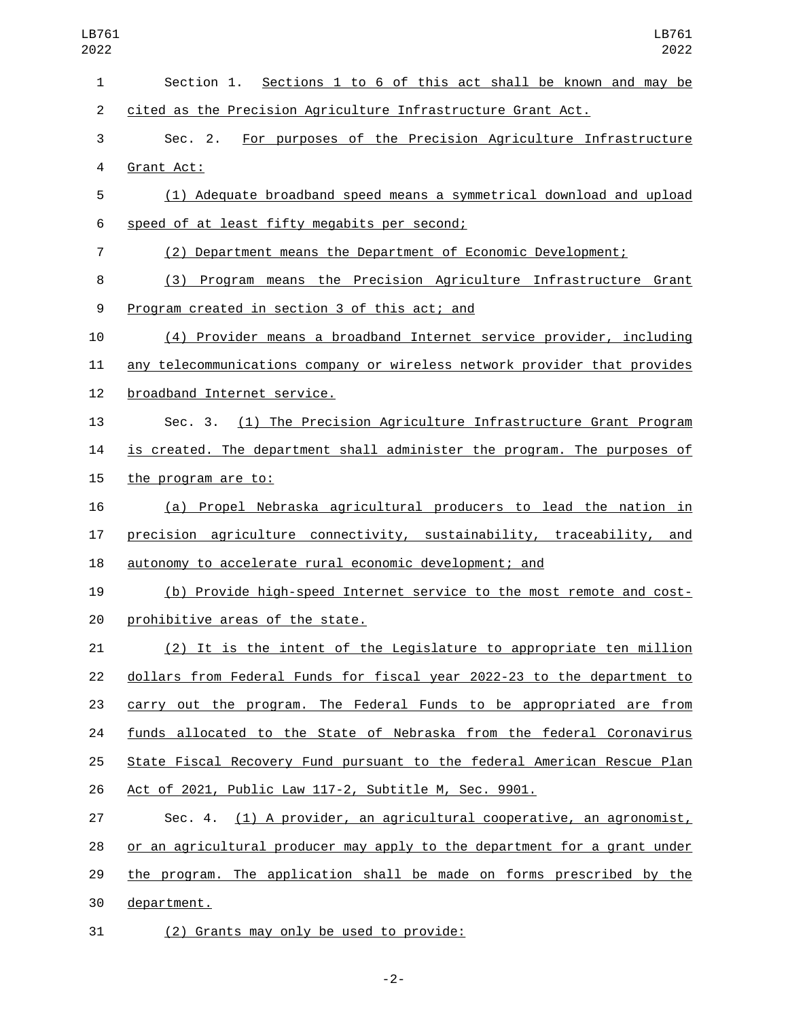| LB761<br>2022  | LB761<br>2022                                                             |
|----------------|---------------------------------------------------------------------------|
| $\mathbf{1}$   | Section 1. Sections 1 to 6 of this act shall be known and may be          |
| $\overline{2}$ | cited as the Precision Agriculture Infrastructure Grant Act.              |
| 3              | For purposes of the Precision Agriculture Infrastructure<br>Sec. 2.       |
| 4              | Grant Act:                                                                |
| 5              | (1) Adequate broadband speed means a symmetrical download and upload      |
| 6              | speed of at least fifty megabits per second;                              |
| 7              | (2) Department means the Department of Economic Development;              |
| 8              | (3) Program means the Precision Agriculture Infrastructure Grant          |
| 9              | Program created in section 3 of this act; and                             |
| 10             | (4) Provider means a broadband Internet service provider, including       |
| 11             | any telecommunications company or wireless network provider that provides |
| 12             | broadband Internet service.                                               |
| 13             | Sec. 3. (1) The Precision Agriculture Infrastructure Grant Program        |
| 14             | is created. The department shall administer the program. The purposes of  |
| 15             | the program are to:                                                       |
| 16             | (a) Propel Nebraska agricultural producers to lead the nation in          |
| 17             | precision agriculture connectivity, sustainability, traceability, and     |
| 18             | autonomy to accelerate rural economic development; and                    |
| 19             | (b) Provide high-speed Internet service to the most remote and cost-      |
| 20             | prohibitive areas of the state.                                           |
| 21             | (2) It is the intent of the Legislature to appropriate ten million        |
| 22             | dollars from Federal Funds for fiscal year 2022-23 to the department to   |
| 23             | carry out the program. The Federal Funds to be appropriated are from      |
| 24             | funds allocated to the State of Nebraska from the federal Coronavirus     |
| 25             | State Fiscal Recovery Fund pursuant to the federal American Rescue Plan   |
| 26             | Act of 2021, Public Law 117-2, Subtitle M, Sec. 9901.                     |
| 27             | Sec. 4. (1) A provider, an agricultural cooperative, an agronomist,       |
| 28             | or an agricultural producer may apply to the department for a grant under |
| 29             | the program. The application shall be made on forms prescribed by the     |
| 30             | department.                                                               |
| 31             | (2) Grants may only be used to provide:                                   |

-2-